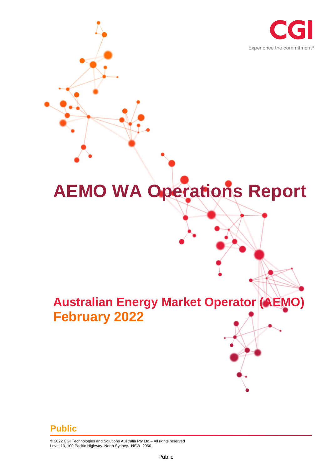

# **AEMO WA Operations Report**

# **Australian Energy Market Operator (AEMO) February 2022**

#### **Public**

© 2022 CGI Technologies and Solutions Australia Pty Ltd.– All rights reserved Level 13, 100 Pacific Highway, North Sydney. NSW 2060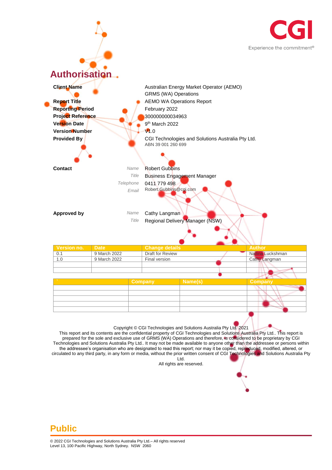



This report and its contents are the confidential property of CGI Technologies and Solutions Australia Pty Ltd.. This report is prepared for the sole and exclusive use of GRMS (WA) Operations and therefore, is considered to be proprietary by CGI Technologies and Solutions Australia Pty Ltd.. It may not be made available to anyone other than the addressee or persons within the addressee's organisation who are designated to read this report; nor may it be copied, reproduced, modified, altered, or circulated to any third party, in any form or media, without the prior written consent of CGI Technologies and Solutions Australia Pty Ltd.

All rights are reserved.

#### **Public**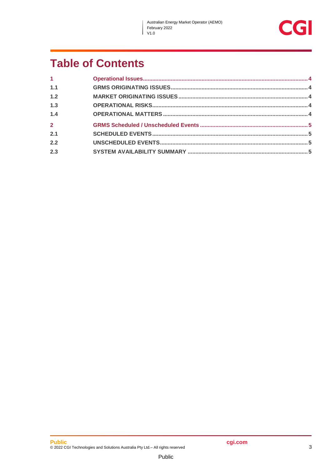$\overline{\phantom{a}}$ 



## **Table of Contents**

| 1 <sup>1</sup> |  |
|----------------|--|
| 1.1            |  |
| 1.2            |  |
| 1.3            |  |
| 1.4            |  |
| $\overline{2}$ |  |
| 2.1            |  |
| 2.2            |  |
| 2.3            |  |
|                |  |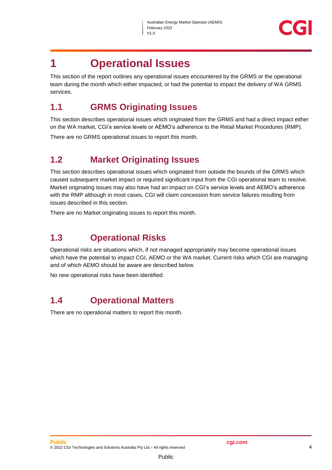

### <span id="page-3-0"></span>**1 Operational Issues**

This section of the report outlines any operational issues encountered by the GRMS or the operational team during the month which either impacted, or had the potential to impact the delivery of WA GRMS services.

#### <span id="page-3-1"></span>**1.1 GRMS Originating Issues**

This section describes operational issues which originated from the GRMS and had a direct impact either on the WA market, CGI's service levels or AEMO's adherence to the Retail Market Procedures (RMP).

There are no GRMS operational issues to report this month.

#### <span id="page-3-2"></span>**1.2 Market Originating Issues**

This section describes operational issues which originated from outside the bounds of the GRMS which caused subsequent market impact or required significant input from the CGI operational team to resolve. Market originating issues may also have had an impact on CGI's service levels and AEMO's adherence with the RMP although in most cases, CGI will claim concession from service failures resulting from issues described in this section.

There are no Market originating issues to report this month.

#### <span id="page-3-3"></span>**1.3 Operational Risks**

Operational risks are situations which, if not managed appropriately may become operational issues which have the potential to impact CGI, AEMO or the WA market. Current risks which CGI are managing and of which AEMO should be aware are described below.

No new operational risks have been identified.

#### <span id="page-3-4"></span>**1.4 Operational Matters**

There are no operational matters to report this month.

Public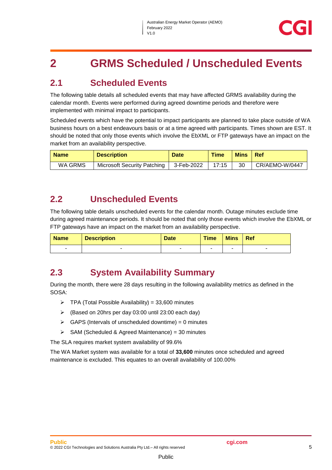## <span id="page-4-0"></span>**2 GRMS Scheduled / Unscheduled Events**

#### <span id="page-4-1"></span>**2.1 Scheduled Events**

The following table details all scheduled events that may have affected GRMS availability during the calendar month. Events were performed during agreed downtime periods and therefore were implemented with minimal impact to participants.

Scheduled events which have the potential to impact participants are planned to take place outside of WA business hours on a best endeavours basis or at a time agreed with participants. Times shown are EST. It should be noted that only those events which involve the EbXML or FTP gateways have an impact on the market from an availability perspective.

| <b>Name</b> | <b>Description</b>                 | <b>Date</b> | <b>Time</b> | <b>Mins</b> | -Ref           |
|-------------|------------------------------------|-------------|-------------|-------------|----------------|
| WA GRMS     | <b>Microsoft Security Patching</b> | 3-Feb-2022  | 17:15       | 30          | CR/AEMO-W/0447 |

#### <span id="page-4-2"></span>**2.2 Unscheduled Events**

The following table details unscheduled events for the calendar month. Outage minutes exclude time during agreed maintenance periods. It should be noted that only those events which involve the EbXML or FTP gateways have an impact on the market from an availability perspective.

| <b>Name</b> | <b>Description</b> | <b>Date</b> | <b>Time</b> | <b>Mins</b> | <b>Ref</b> |
|-------------|--------------------|-------------|-------------|-------------|------------|
| -           |                    |             |             |             | -          |

#### <span id="page-4-3"></span>**2.3 System Availability Summary**

During the month, there were 28 days resulting in the following availability metrics as defined in the SOSA:

- $\triangleright$  TPA (Total Possible Availability) = 33,600 minutes
- (Based on 20hrs per day 03:00 until 23:00 each day)
- $\triangleright$  GAPS (Intervals of unscheduled downtime) = 0 minutes
- $\triangleright$  SAM (Scheduled & Agreed Maintenance) = 30 minutes

The SLA requires market system availability of 99.6%

The WA Market system was available for a total of **33,600** minutes once scheduled and agreed maintenance is excluded. This equates to an overall availability of 100.00%